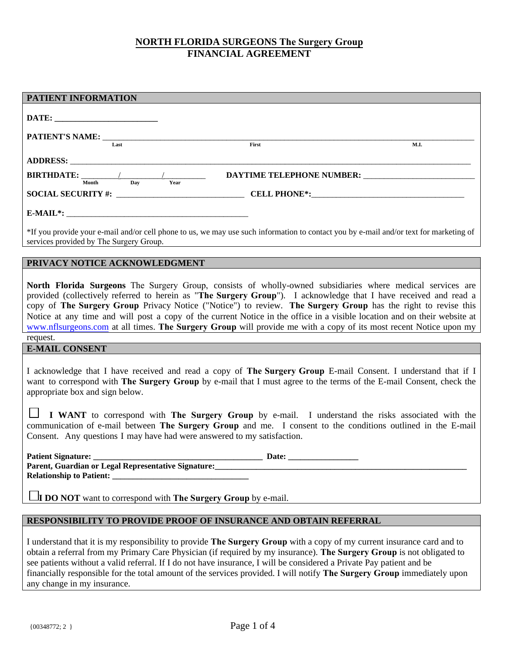# **NORTH FLORIDA SURGEONS The Surgery Group FINANCIAL AGREEMENT**

| PATIENT INFORMATION                                                                                                                                                                                                                                                                                                                                                                                                                                                                                                                                                                               |  |  |
|---------------------------------------------------------------------------------------------------------------------------------------------------------------------------------------------------------------------------------------------------------------------------------------------------------------------------------------------------------------------------------------------------------------------------------------------------------------------------------------------------------------------------------------------------------------------------------------------------|--|--|
|                                                                                                                                                                                                                                                                                                                                                                                                                                                                                                                                                                                                   |  |  |
|                                                                                                                                                                                                                                                                                                                                                                                                                                                                                                                                                                                                   |  |  |
| PATIENT'S NAME: ____________<br>$\overline{I.}$ ast<br>First<br>M.I.                                                                                                                                                                                                                                                                                                                                                                                                                                                                                                                              |  |  |
|                                                                                                                                                                                                                                                                                                                                                                                                                                                                                                                                                                                                   |  |  |
| <b>BIRTHDATE:</b> $\frac{1}{\frac{M\text{onth}}{\text{Nopt}}}$ $\frac{1}{\frac{D\text{ay}}{\text{Year}}}$                                                                                                                                                                                                                                                                                                                                                                                                                                                                                         |  |  |
|                                                                                                                                                                                                                                                                                                                                                                                                                                                                                                                                                                                                   |  |  |
|                                                                                                                                                                                                                                                                                                                                                                                                                                                                                                                                                                                                   |  |  |
| *If you provide your e-mail and/or cell phone to us, we may use such information to contact you by e-mail and/or text for marketing of<br>services provided by The Surgery Group.                                                                                                                                                                                                                                                                                                                                                                                                                 |  |  |
| PRIVACY NOTICE ACKNOWLEDGMENT                                                                                                                                                                                                                                                                                                                                                                                                                                                                                                                                                                     |  |  |
| North Florida Surgeons The Surgery Group, consists of wholly-owned subsidiaries where medical services are<br>provided (collectively referred to herein as "The Surgery Group"). I acknowledge that I have received and read a<br>copy of The Surgery Group Privacy Notice ("Notice") to review. The Surgery Group has the right to revise this<br>Notice at any time and will post a copy of the current Notice in the office in a visible location and on their website at<br>www.nflsurgeons.com at all times. The Surgery Group will provide me with a copy of its most recent Notice upon my |  |  |
| request.                                                                                                                                                                                                                                                                                                                                                                                                                                                                                                                                                                                          |  |  |
| <b>E-MAIL CONSENT</b><br>I acknowledge that I have received and read a copy of The Surgery Group E-mail Consent. I understand that if I<br>want to correspond with The Surgery Group by e-mail that I must agree to the terms of the E-mail Consent, check the<br>appropriate box and sign below.<br>I WANT to correspond with The Surgery Group by e-mail. I understand the risks associated with the<br>communication of e-mail between The Surgery Group and me. I consent to the conditions outlined in the E-mail<br>Consent. Any questions I may have had were answered to my satisfaction. |  |  |
| Parent, Guardian or Legal Representative Signature:<br><b>Relationship to Patient:</b>                                                                                                                                                                                                                                                                                                                                                                                                                                                                                                            |  |  |

**I DO NOT** want to correspond with **The Surgery Group** by e-mail.

# **RESPONSIBILITY TO PROVIDE PROOF OF INSURANCE AND OBTAIN REFERRAL**

I understand that it is my responsibility to provide **The Surgery Group** with a copy of my current insurance card and to obtain a referral from my Primary Care Physician (if required by my insurance). **The Surgery Group** is not obligated to see patients without a valid referral. If I do not have insurance, I will be considered a Private Pay patient and be financially responsible for the total amount of the services provided. I will notify **The Surgery Group** immediately upon any change in my insurance.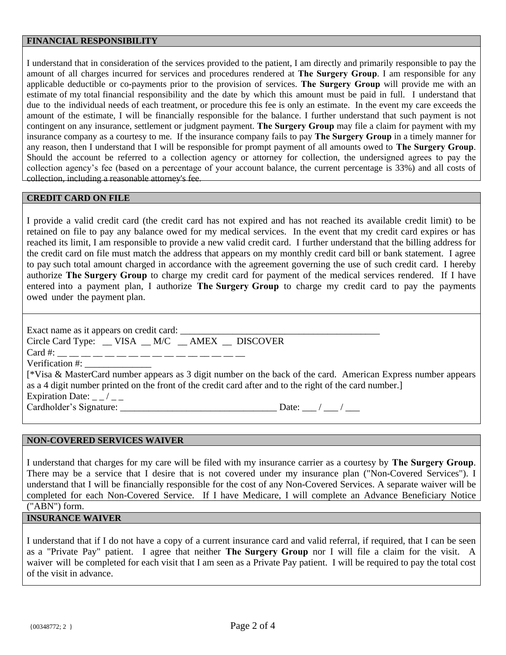### **FINANCIAL RESPONSIBILITY**

I understand that in consideration of the services provided to the patient, I am directly and primarily responsible to pay the amount of all charges incurred for services and procedures rendered at **The Surgery Group**. I am responsible for any applicable deductible or co-payments prior to the provision of services. **The Surgery Group** will provide me with an estimate of my total financial responsibility and the date by which this amount must be paid in full. I understand that due to the individual needs of each treatment, or procedure this fee is only an estimate. In the event my care exceeds the amount of the estimate, I will be financially responsible for the balance. I further understand that such payment is not contingent on any insurance, settlement or judgment payment. **The Surgery Group** may file a claim for payment with my insurance company as a courtesy to me. If the insurance company fails to pay **The Surgery Group** in a timely manner for any reason, then I understand that I will be responsible for prompt payment of all amounts owed to **The Surgery Group**. Should the account be referred to a collection agency or attorney for collection, the undersigned agrees to pay the collection agency's fee (based on a percentage of your account balance, the current percentage is 33%) and all costs of collection, including a reasonable attorney's fee.

#### **CREDIT CARD ON FILE**

I provide a valid credit card (the credit card has not expired and has not reached its available credit limit) to be retained on file to pay any balance owed for my medical services. In the event that my credit card expires or has reached its limit, I am responsible to provide a new valid credit card. I further understand that the billing address for the credit card on file must match the address that appears on my monthly credit card bill or bank statement. I agree to pay such total amount charged in accordance with the agreement governing the use of such credit card. I hereby authorize **The Surgery Group** to charge my credit card for payment of the medical services rendered. If I have entered into a payment plan, I authorize **The Surgery Group** to charge my credit card to pay the payments owed under the payment plan.

Exact name as it appears on credit card: \_\_\_\_\_\_\_\_\_\_\_\_\_\_\_\_\_\_\_\_\_\_\_\_\_\_\_\_\_\_\_\_\_\_\_\_\_\_\_\_\_\_ Circle Card Type: \_\_VISA \_\_M/C \_\_AMEX \_\_ DISCOVER Card #: \_\_ \_\_ \_\_ \_\_ \_\_ \_\_ \_\_ \_\_ \_\_ \_\_ \_\_ \_\_ \_\_ \_\_ \_\_ \_\_ Verification #: [\*Visa & MasterCard number appears as 3 digit number on the back of the card. American Express number appears as a 4 digit number printed on the front of the credit card after and to the right of the card number.] Expiration Date:  $\angle$   $\angle$   $\angle$ Cardholder's Signature: \_\_\_\_\_\_\_\_\_\_\_\_\_\_\_\_\_\_\_\_\_\_\_\_\_\_\_\_\_\_\_\_\_ Date: \_\_\_ / \_\_\_ / \_\_\_

#### **NON-COVERED SERVICES WAIVER**

I understand that charges for my care will be filed with my insurance carrier as a courtesy by **The Surgery Group**. There may be a service that I desire that is not covered under my insurance plan ("Non-Covered Services"). I understand that I will be financially responsible for the cost of any Non-Covered Services. A separate waiver will be completed for each Non-Covered Service. If I have Medicare, I will complete an Advance Beneficiary Notice

("ABN") form.

# **INSURANCE WAIVER**

I understand that if I do not have a copy of a current insurance card and valid referral, if required, that I can be seen as a "Private Pay" patient. I agree that neither **The Surgery Group** nor I will file a claim for the visit. A waiver will be completed for each visit that I am seen as a Private Pay patient. I will be required to pay the total cost of the visit in advance.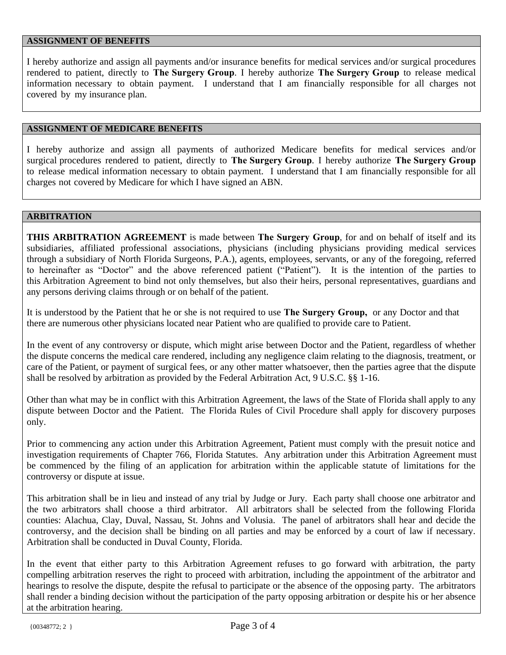### **ASSIGNMENT OF BENEFITS**

I hereby authorize and assign all payments and/or insurance benefits for medical services and/or surgical procedures rendered to patient, directly to **The Surgery Group**. I hereby authorize **The Surgery Group** to release medical information necessary to obtain payment. I understand that I am financially responsible for all charges not covered by my insurance plan.

## **ASSIGNMENT OF MEDICARE BENEFITS**

I hereby authorize and assign all payments of authorized Medicare benefits for medical services and/or surgical procedures rendered to patient, directly to **The Surgery Group**. I hereby authorize **The Surgery Group** to release medical information necessary to obtain payment. I understand that I am financially responsible for all charges not covered by Medicare for which I have signed an ABN.

### **ARBITRATION**

**THIS ARBITRATION AGREEMENT** is made between **The Surgery Group**, for and on behalf of itself and its subsidiaries, affiliated professional associations, physicians (including physicians providing medical services through a subsidiary of North Florida Surgeons, P.A.), agents, employees, servants, or any of the foregoing, referred to hereinafter as "Doctor" and the above referenced patient ("Patient"). It is the intention of the parties to this Arbitration Agreement to bind not only themselves, but also their heirs, personal representatives, guardians and any persons deriving claims through or on behalf of the patient.

It is understood by the Patient that he or she is not required to use **The Surgery Group,** or any Doctor and that there are numerous other physicians located near Patient who are qualified to provide care to Patient.

In the event of any controversy or dispute, which might arise between Doctor and the Patient, regardless of whether the dispute concerns the medical care rendered, including any negligence claim relating to the diagnosis, treatment, or care of the Patient, or payment of surgical fees, or any other matter whatsoever, then the parties agree that the dispute shall be resolved by arbitration as provided by the Federal Arbitration Act, 9 U.S.C. §§ 1-16.

Other than what may be in conflict with this Arbitration Agreement, the laws of the State of Florida shall apply to any dispute between Doctor and the Patient. The Florida Rules of Civil Procedure shall apply for discovery purposes only.

Prior to commencing any action under this Arbitration Agreement, Patient must comply with the presuit notice and investigation requirements of Chapter 766, Florida Statutes. Any arbitration under this Arbitration Agreement must be commenced by the filing of an application for arbitration within the applicable statute of limitations for the controversy or dispute at issue.

This arbitration shall be in lieu and instead of any trial by Judge or Jury. Each party shall choose one arbitrator and the two arbitrators shall choose a third arbitrator. All arbitrators shall be selected from the following Florida counties: Alachua, Clay, Duval, Nassau, St. Johns and Volusia. The panel of arbitrators shall hear and decide the controversy, and the decision shall be binding on all parties and may be enforced by a court of law if necessary. Arbitration shall be conducted in Duval County, Florida.

In the event that either party to this Arbitration Agreement refuses to go forward with arbitration, the party compelling arbitration reserves the right to proceed with arbitration, including the appointment of the arbitrator and hearings to resolve the dispute, despite the refusal to participate or the absence of the opposing party. The arbitrators shall render a binding decision without the participation of the party opposing arbitration or despite his or her absence at the arbitration hearing.